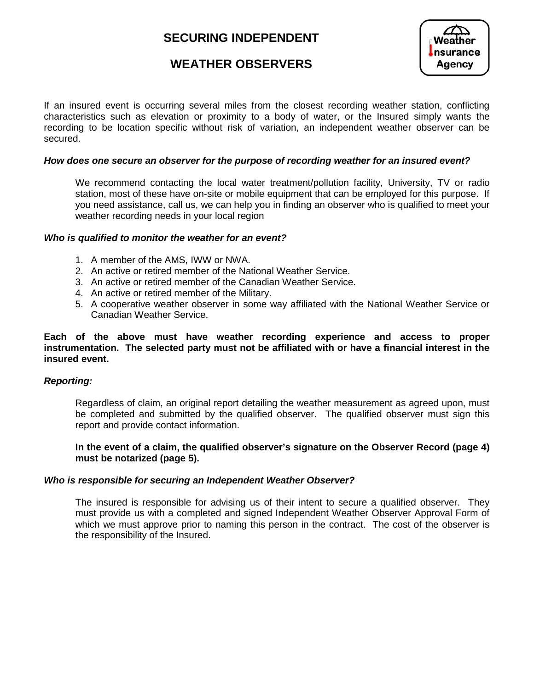# **SECURING INDEPENDENT**



## **WEATHER OBSERVERS**

If an insured event is occurring several miles from the closest recording weather station, conflicting characteristics such as elevation or proximity to a body of water, or the Insured simply wants the recording to be location specific without risk of variation, an independent weather observer can be secured.

#### *How does one secure an observer for the purpose of recording weather for an insured event?*

We recommend contacting the local water treatment/pollution facility, University, TV or radio station, most of these have on-site or mobile equipment that can be employed for this purpose. If you need assistance, call us, we can help you in finding an observer who is qualified to meet your weather recording needs in your local region

#### *Who is qualified to monitor the weather for an event?*

- 1. A member of the AMS, IWW or NWA.
- 2. An active or retired member of the National Weather Service.
- 3. An active or retired member of the Canadian Weather Service.
- 4. An active or retired member of the Military.
- 5. A cooperative weather observer in some way affiliated with the National Weather Service or Canadian Weather Service.

#### **Each of the above must have weather recording experience and access to proper instrumentation. The selected party must not be affiliated with or have a financial interest in the insured event.**

#### *Reporting:*

Regardless of claim, an original report detailing the weather measurement as agreed upon, must be completed and submitted by the qualified observer. The qualified observer must sign this report and provide contact information.

#### **In the event of a claim, the qualified observer's signature on the Observer Record (page 4) must be notarized (page 5).**

#### *Who is responsible for securing an Independent Weather Observer?*

The insured is responsible for advising us of their intent to secure a qualified observer. They must provide us with a completed and signed Independent Weather Observer Approval Form of which we must approve prior to naming this person in the contract. The cost of the observer is the responsibility of the Insured.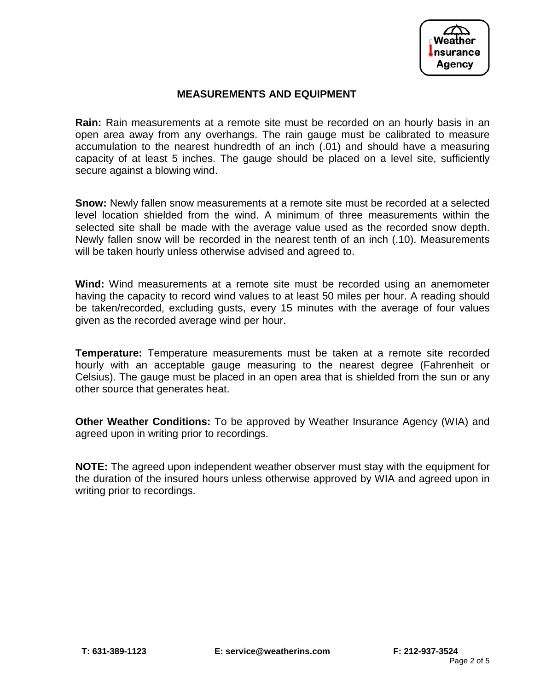

### **MEASUREMENTS AND EQUIPMENT**

**Rain:** Rain measurements at a remote site must be recorded on an hourly basis in an open area away from any overhangs. The rain gauge must be calibrated to measure accumulation to the nearest hundredth of an inch (.01) and should have a measuring capacity of at least 5 inches. The gauge should be placed on a level site, sufficiently secure against a blowing wind.

**Snow:** Newly fallen snow measurements at a remote site must be recorded at a selected level location shielded from the wind. A minimum of three measurements within the selected site shall be made with the average value used as the recorded snow depth. Newly fallen snow will be recorded in the nearest tenth of an inch (.10). Measurements will be taken hourly unless otherwise advised and agreed to.

**Wind:** Wind measurements at a remote site must be recorded using an anemometer having the capacity to record wind values to at least 50 miles per hour. A reading should be taken/recorded, excluding gusts, every 15 minutes with the average of four values given as the recorded average wind per hour.

**Temperature:** Temperature measurements must be taken at a remote site recorded hourly with an acceptable gauge measuring to the nearest degree (Fahrenheit or Celsius). The gauge must be placed in an open area that is shielded from the sun or any other source that generates heat.

**Other Weather Conditions:** To be approved by Weather Insurance Agency (WIA) and agreed upon in writing prior to recordings.

**NOTE:** The agreed upon independent weather observer must stay with the equipment for the duration of the insured hours unless otherwise approved by WIA and agreed upon in writing prior to recordings.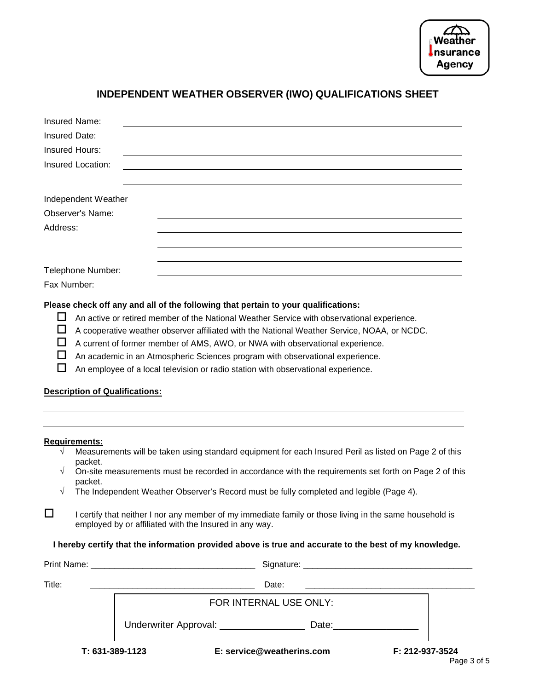| $\epsilon$            |  |
|-----------------------|--|
| Weather               |  |
| $\mathbf{l}$ nsurance |  |
| Agency                |  |
|                       |  |

# **INDEPENDENT WEATHER OBSERVER (IWO) QUALIFICATIONS SHEET**

| Insured Name:                              |                                                                                                                                                                   |                                                                                                                                                                                                                                                                                                                                                                                                                                                                                                                                                                                 |  |  |  |  |  |
|--------------------------------------------|-------------------------------------------------------------------------------------------------------------------------------------------------------------------|---------------------------------------------------------------------------------------------------------------------------------------------------------------------------------------------------------------------------------------------------------------------------------------------------------------------------------------------------------------------------------------------------------------------------------------------------------------------------------------------------------------------------------------------------------------------------------|--|--|--|--|--|
| <b>Insured Date:</b>                       |                                                                                                                                                                   |                                                                                                                                                                                                                                                                                                                                                                                                                                                                                                                                                                                 |  |  |  |  |  |
| <b>Insured Hours:</b><br>Insured Location: |                                                                                                                                                                   |                                                                                                                                                                                                                                                                                                                                                                                                                                                                                                                                                                                 |  |  |  |  |  |
|                                            |                                                                                                                                                                   |                                                                                                                                                                                                                                                                                                                                                                                                                                                                                                                                                                                 |  |  |  |  |  |
|                                            | Observer's Name:                                                                                                                                                  |                                                                                                                                                                                                                                                                                                                                                                                                                                                                                                                                                                                 |  |  |  |  |  |
| Address:                                   |                                                                                                                                                                   |                                                                                                                                                                                                                                                                                                                                                                                                                                                                                                                                                                                 |  |  |  |  |  |
| Fax Number:                                | Telephone Number:                                                                                                                                                 |                                                                                                                                                                                                                                                                                                                                                                                                                                                                                                                                                                                 |  |  |  |  |  |
| Ш<br>ப<br>$\Box$<br>LΙ                     |                                                                                                                                                                   | Please check off any and all of the following that pertain to your qualifications:<br>An active or retired member of the National Weather Service with observational experience.<br>A cooperative weather observer affiliated with the National Weather Service, NOAA, or NCDC.<br>A current of former member of AMS, AWO, or NWA with observational experience.<br>An academic in an Atmospheric Sciences program with observational experience.<br>An employee of a local television or radio station with observational experience.<br><b>Description of Qualifications:</b> |  |  |  |  |  |
| Requirements:<br>√                         | packet.<br>packet.                                                                                                                                                | Measurements will be taken using standard equipment for each Insured Peril as listed on Page 2 of this<br>On-site measurements must be recorded in accordance with the requirements set forth on Page 2 of this<br>The Independent Weather Observer's Record must be fully completed and legible (Page 4).                                                                                                                                                                                                                                                                      |  |  |  |  |  |
| □                                          | I certify that neither I nor any member of my immediate family or those living in the same household is<br>employed by or affiliated with the Insured in any way. |                                                                                                                                                                                                                                                                                                                                                                                                                                                                                                                                                                                 |  |  |  |  |  |
|                                            |                                                                                                                                                                   | I hereby certify that the information provided above is true and accurate to the best of my knowledge.                                                                                                                                                                                                                                                                                                                                                                                                                                                                          |  |  |  |  |  |
|                                            |                                                                                                                                                                   |                                                                                                                                                                                                                                                                                                                                                                                                                                                                                                                                                                                 |  |  |  |  |  |
| Title:                                     |                                                                                                                                                                   | Date:<br><u> 2000 - Jan James James Jan James James James James James James James James James James James James James Jam</u>                                                                                                                                                                                                                                                                                                                                                                                                                                                   |  |  |  |  |  |
|                                            | FOR INTERNAL USE ONLY:                                                                                                                                            |                                                                                                                                                                                                                                                                                                                                                                                                                                                                                                                                                                                 |  |  |  |  |  |
|                                            |                                                                                                                                                                   | Underwriter Approval: __________________                                                                                                                                                                                                                                                                                                                                                                                                                                                                                                                                        |  |  |  |  |  |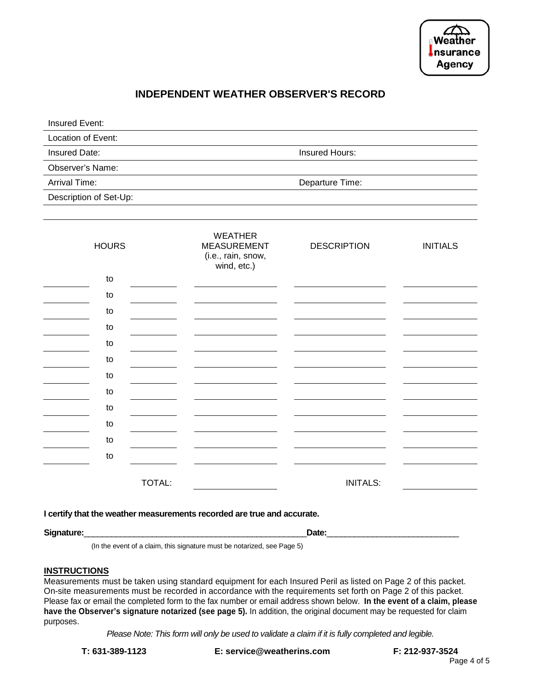

### **INDEPENDENT WEATHER OBSERVER'S RECORD**

| Insured Event:         |                 |  |
|------------------------|-----------------|--|
| Location of Event:     |                 |  |
| Insured Date:          | Insured Hours:  |  |
| Observer's Name:       |                 |  |
| Arrival Time:          | Departure Time: |  |
| Description of Set-Up: |                 |  |
|                        |                 |  |

| <b>HOURS</b> | <b>WEATHER</b><br><b>MEASUREMENT</b><br>(i.e., rain, snow,<br>wind, etc.) | <b>DESCRIPTION</b> | <b>INITIALS</b> |
|--------------|---------------------------------------------------------------------------|--------------------|-----------------|
| to           |                                                                           |                    |                 |
| to           |                                                                           |                    |                 |
| to           |                                                                           |                    |                 |
| to           |                                                                           |                    |                 |
| to           |                                                                           |                    |                 |
| to           |                                                                           |                    |                 |
| to           |                                                                           |                    |                 |
| to           |                                                                           |                    |                 |
| to           |                                                                           |                    |                 |
| to           |                                                                           |                    |                 |
| to           |                                                                           |                    |                 |
| to           |                                                                           |                    |                 |
|              | TOTAL:                                                                    | <b>INITALS:</b>    |                 |

**I certify that the weather measurements recorded are true and accurate.**

**Signature:**\_\_\_\_\_\_\_\_\_\_\_\_\_\_\_\_\_\_\_\_\_\_\_\_\_\_\_\_\_\_\_\_\_\_\_\_\_\_\_\_\_\_\_\_\_\_\_\_\_**Date:**\_\_\_\_\_\_\_\_\_\_\_\_\_\_\_\_\_\_\_\_\_\_\_\_\_\_\_\_\_

(In the event of a claim, this signature must be notarized, see Page 5)

#### **INSTRUCTIONS**

Measurements must be taken using standard equipment for each Insured Peril as listed on Page 2 of this packet. On-site measurements must be recorded in accordance with the requirements set forth on Page 2 of this packet. Please fax or email the completed form to the fax number or email address shown below. **In the event of a claim, please have the Observer's signature notarized (see page 5).** In addition, the original document may be requested for claim purposes.

*Please Note: This form will only be used to validate a claim if it is fully completed and legible.*

**T: 631-389-1123 E: service@weatherins.com F: 212-937-3524**